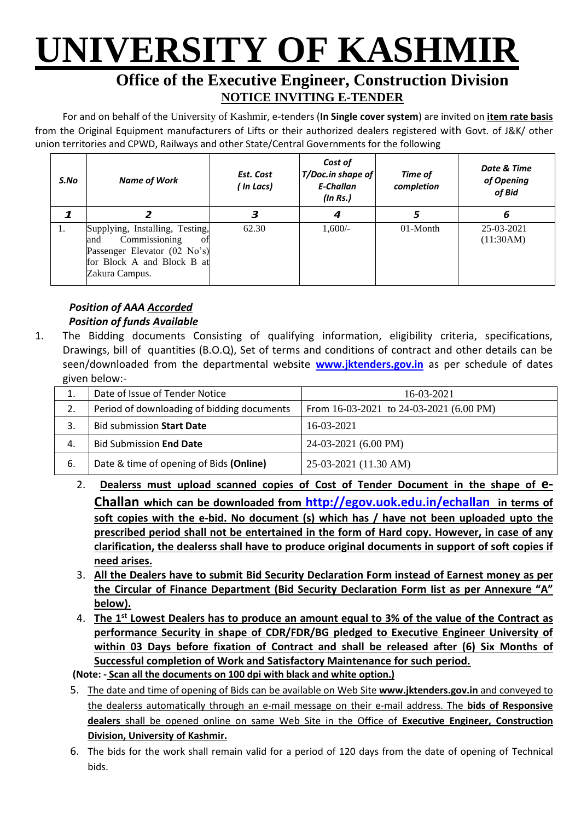# **UNIVERSITY OF KASHMIR**

### **Office of the Executive Engineer, Construction Division NOTICE INVITING E-TENDER**

For and on behalf of the University of Kashmir, e-tenders (**In Single cover system**) are invited on **item rate basis** from the Original Equipment manufacturers of Lifts or their authorized dealers registered with Govt. of J&K/ other union territories and CPWD, Railways and other State/Central Governments for the following

| S.No | <b>Name of Work</b>                                                                                                                           | Est. Cost<br>( In Lacs) | Cost of<br>T/Doc.in shape of<br>E-Challan<br>(ln Rs.) | Time of<br>completion | Date & Time<br>of Opening<br>of Bid |
|------|-----------------------------------------------------------------------------------------------------------------------------------------------|-------------------------|-------------------------------------------------------|-----------------------|-------------------------------------|
|      |                                                                                                                                               | з                       | 4                                                     | 5                     | 6                                   |
| 1.   | Supplying, Installing, Testing,<br>Commissioning<br>and<br>ΩŤ<br>Passenger Elevator (02 No's)<br>for Block A and Block B at<br>Zakura Campus. | 62.30                   | $1,600/-$                                             | 01-Month              | 25-03-2021<br>(11:30AM)             |

#### *Position of AAA Accorded Position of funds Available*

1. The Bidding documents Consisting of qualifying information, eligibility criteria, specifications, Drawings, bill of quantities (B.O.Q), Set of terms and conditions of contract and other details can be seen/downloaded from the departmental website **[www.jktenders.gov.in](http://www.pmgsytendersjk.gov.in/)** as per schedule of dates given below:-

| ⊥. | Date of Issue of Tender Notice             | 16-03-2021                                  |
|----|--------------------------------------------|---------------------------------------------|
| 2. | Period of downloading of bidding documents | From $16-03-2021$ to $24-03-2021$ (6.00 PM) |
|    | <b>Bid submission Start Date</b>           | 16-03-2021                                  |
| 4. | <b>Bid Submission End Date</b>             | 24-03-2021 (6.00 PM)                        |
| 6. | Date & time of opening of Bids (Online)    | 25-03-2021 (11.30 AM)                       |

- 2. **Dealerss must upload scanned copies of Cost of Tender Document in the shape of e-Challan which can be downloaded from <http://egov.uok.edu.in/echallan> in terms of soft copies with the e-bid. No document (s) which has / have not been uploaded upto the prescribed period shall not be entertained in the form of Hard copy. However, in case of any clarification, the dealerss shall have to produce original documents in support of soft copies if need arises.**
- 3. **All the Dealers have to submit Bid Security Declaration Form instead of Earnest money as per the Circular of Finance Department (Bid Security Declaration Form Iist as per Annexure "A" below).**
- 4. **The 1st Lowest Dealers has to produce an amount equal to 3% of the value of the Contract as performance Security in shape of CDR/FDR/BG pledged to Executive Engineer University of within 03 Days before fixation of Contract and shall be released after (6) Six Months of Successful completion of Work and Satisfactory Maintenance for such period.**

**(Note: - Scan all the documents on 100 dpi with black and white option.)**

- 5. The date and time of opening of Bids can be available on Web Site **[www.jktenders.gov.in](http://www.pmgsytendersjk.gov.in/)** and conveyed to the dealerss automatically through an e-mail message on their e-mail address. The **bids of Responsive dealers** shall be opened online on same Web Site in the Office of **Executive Engineer, Construction Division, University of Kashmir.**
- 6. The bids for the work shall remain valid for a period of 120 days from the date of opening of Technical bids.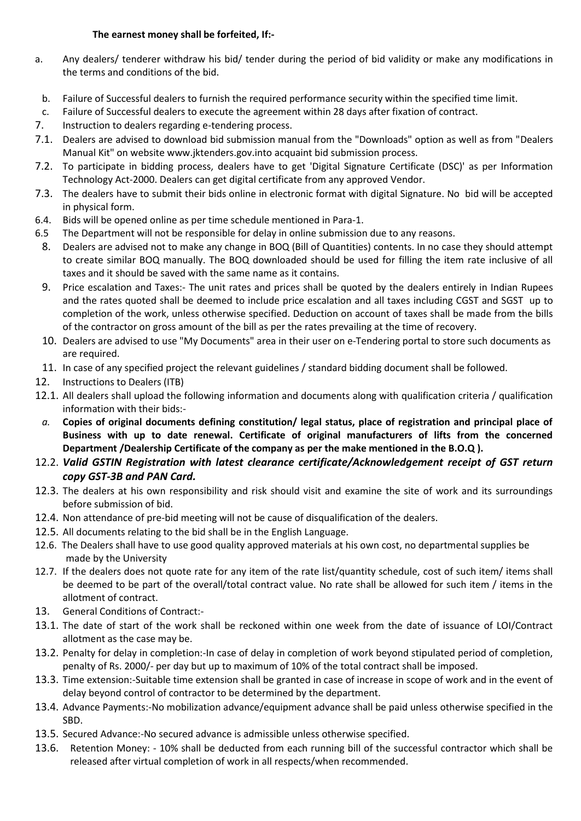#### **The earnest money shall be forfeited, If:-**

- a. Any dealers/ tenderer withdraw his bid/ tender during the period of bid validity or make any modifications in the terms and conditions of the bid.
- b. Failure of Successful dealers to furnish the required performance security within the specified time limit.
- c. Failure of Successful dealers to execute the agreement within 28 days after fixation of contract.
- 7. Instruction to dealers regarding e-tendering process.
- 7.1. Dealers are advised to download bid submission manual from the "Downloads" option as well as from "Dealers Manual Kit" on website [www.jktenders.gov.into](http://www.pmgsytendersjk.gov.into/) acquaint bid submission process.
- 7.2. To participate in bidding process, dealers have to get 'Digital Signature Certificate (DSC)' as per Information Technology Act-2000. Dealers can get digital certificate from any approved Vendor.
- 7.3. The dealers have to submit their bids online in electronic format with digital Signature. No bid will be accepted in physical form.
- 6.4. Bids will be opened online as per time schedule mentioned in Para-1.
- 6.5 The Department will not be responsible for delay in online submission due to any reasons.
- 8. Dealers are advised not to make any change in BOQ (Bill of Quantities) contents. In no case they should attempt to create similar BOQ manually. The BOQ downloaded should be used for filling the item rate inclusive of all taxes and it should be saved with the same name as it contains.
- 9. Price escalation and Taxes:- The unit rates and prices shall be quoted by the dealers entirely in Indian Rupees and the rates quoted shall be deemed to include price escalation and all taxes including CGST and SGST up to completion of the work, unless otherwise specified. Deduction on account of taxes shall be made from the bills of the contractor on gross amount of the bill as per the rates prevailing at the time of recovery.
- 10. Dealers are advised to use "My Documents" area in their user on e-Tendering portal to store such documents as are required.
- 11. In case of any specified project the relevant guidelines / standard bidding document shall be followed.
- 12. Instructions to Dealers (ITB)
- 12.1. All dealers shall upload the following information and documents along with qualification criteria / qualification information with their bids:-
- *a.* **Copies of original documents defining constitution/ legal status, place of registration and principal place of Business with up to date renewal. Certificate of original manufacturers of lifts from the concerned Department /Dealership Certificate of the company as per the make mentioned in the B.O.Q ).**
- 12.2. *Valid GSTIN Registration with latest clearance certificate/Acknowledgement receipt of GST return copy GST-3B and PAN Card.*
- 12.3. The dealers at his own responsibility and risk should visit and examine the site of work and its surroundings before submission of bid.
- 12.4. Non attendance of pre-bid meeting will not be cause of disqualification of the dealers.
- 12.5. All documents relating to the bid shall be in the English Language.
- 12.6. The Dealers shall have to use good quality approved materials at his own cost, no departmental supplies be made by the University
- 12.7. If the dealers does not quote rate for any item of the rate list/quantity schedule, cost of such item/ items shall be deemed to be part of the overall/total contract value. No rate shall be allowed for such item / items in the allotment of contract.
- 13. General Conditions of Contract:-
- 13.1. The date of start of the work shall be reckoned within one week from the date of issuance of LOI/Contract allotment as the case may be.
- 13.2. Penalty for delay in completion:-In case of delay in completion of work beyond stipulated period of completion, penalty of Rs. 2000/- per day but up to maximum of 10% of the total contract shall be imposed.
- 13.3. Time extension:-Suitable time extension shall be granted in case of increase in scope of work and in the event of delay beyond control of contractor to be determined by the department.
- 13.4. Advance Payments:-No mobilization advance/equipment advance shall be paid unless otherwise specified in the SBD.
- 13.5. Secured Advance:-No secured advance is admissible unless otherwise specified.
- 13.6. Retention Money: 10% shall be deducted from each running bill of the successful contractor which shall be released after virtual completion of work in all respects/when recommended.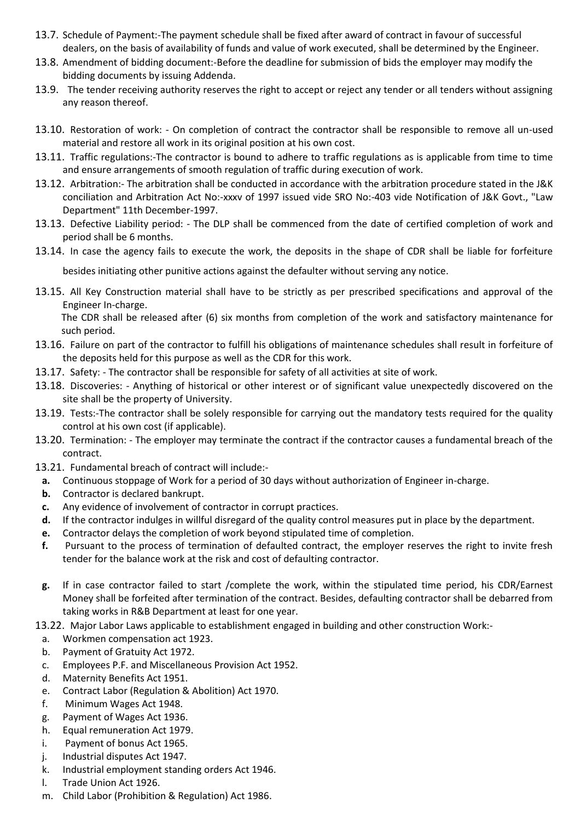- 13.7. Schedule of Payment:-The payment schedule shall be fixed after award of contract in favour of successful dealers, on the basis of availability of funds and value of work executed, shall be determined by the Engineer.
- 13.8. Amendment of bidding document:-Before the deadline for submission of bids the employer may modify the bidding documents by issuing Addenda.
- 13.9. The tender receiving authority reserves the right to accept or reject any tender or all tenders without assigning any reason thereof.
- 13.10. Restoration of work: On completion of contract the contractor shall be responsible to remove all un-used material and restore all work in its original position at his own cost.
- 13.11. Traffic regulations:-The contractor is bound to adhere to traffic regulations as is applicable from time to time and ensure arrangements of smooth regulation of traffic during execution of work.
- 13.12. Arbitration:- The arbitration shall be conducted in accordance with the arbitration procedure stated in the J&K conciliation and Arbitration Act No:-xxxv of 1997 issued vide SRO No:-403 vide Notification of J&K Govt., "Law Department" 11th December-1997.
- 13.13. Defective Liability period: The DLP shall be commenced from the date of certified completion of work and period shall be 6 months.
- 13.14. In case the agency fails to execute the work, the deposits in the shape of CDR shall be liable for forfeiture

besides initiating other punitive actions against the defaulter without serving any notice.

13.15. All Key Construction material shall have to be strictly as per prescribed specifications and approval of the Engineer In-charge.

The CDR shall be released after (6) six months from completion of the work and satisfactory maintenance for such period.

- 13.16. Failure on part of the contractor to fulfill his obligations of maintenance schedules shall result in forfeiture of the deposits held for this purpose as well as the CDR for this work.
- 13.17. Safety: The contractor shall be responsible for safety of all activities at site of work.
- 13.18. Discoveries: Anything of historical or other interest or of significant value unexpectedly discovered on the site shall be the property of University.
- 13.19. Tests:-The contractor shall be solely responsible for carrying out the mandatory tests required for the quality control at his own cost (if applicable).
- 13.20. Termination: The employer may terminate the contract if the contractor causes a fundamental breach of the contract.
- 13.21. Fundamental breach of contract will include:
	- **a.** Continuous stoppage of Work for a period of 30 days without authorization of Engineer in-charge.
	- **b.** Contractor is declared bankrupt.
	- **c.** Any evidence of involvement of contractor in corrupt practices.
- **d.** If the contractor indulges in willful disregard of the quality control measures put in place by the department.
- **e.** Contractor delays the completion of work beyond stipulated time of completion.
- **f.** Pursuant to the process of termination of defaulted contract, the employer reserves the right to invite fresh tender for the balance work at the risk and cost of defaulting contractor.
- **g.** If in case contractor failed to start /complete the work, within the stipulated time period, his CDR/Earnest Money shall be forfeited after termination of the contract. Besides, defaulting contractor shall be debarred from taking works in R&B Department at least for one year.

13.22. Major Labor Laws applicable to establishment engaged in building and other construction Work:-

- a. Workmen compensation act 1923.
- b. Payment of Gratuity Act 1972.
- c. Employees P.F. and Miscellaneous Provision Act 1952.
- d. Maternity Benefits Act 1951.
- e. Contract Labor (Regulation & Abolition) Act 1970.
- f. Minimum Wages Act 1948.
- g. Payment of Wages Act 1936.
- h. Equal remuneration Act 1979.
- i. Payment of bonus Act 1965.
- j. Industrial disputes Act 1947.
- k. Industrial employment standing orders Act 1946.
- l. Trade Union Act 1926.
- m. Child Labor (Prohibition & Regulation) Act 1986.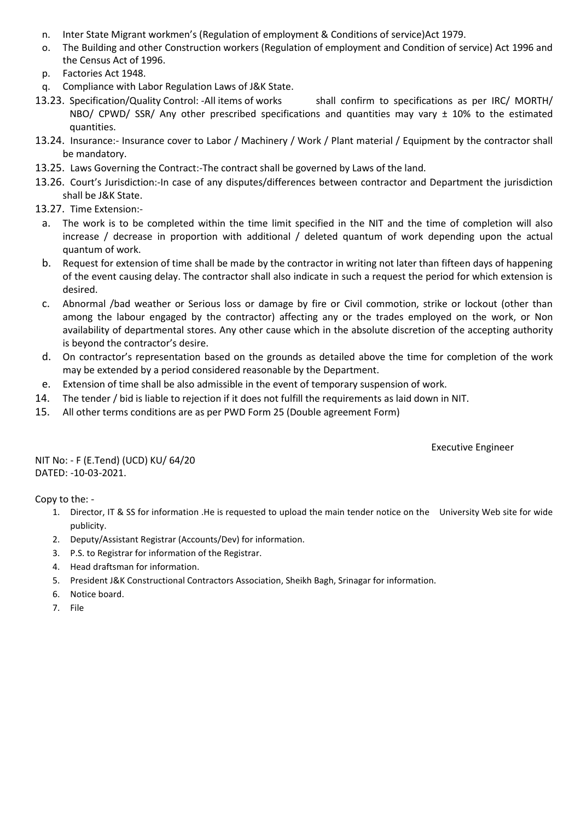- n. Inter State Migrant workmen's (Regulation of employment & Conditions of service)Act 1979.
- o. The Building and other Construction workers (Regulation of employment and Condition of service) Act 1996 and the Census Act of 1996.
- p. Factories Act 1948.
- q. Compliance with Labor Regulation Laws of J&K State.
- 13.23. Specification/Quality Control: -All items of works shall confirm to specifications as per IRC/ MORTH/ NBO/ CPWD/ SSR/ Any other prescribed specifications and quantities may vary  $\pm$  10% to the estimated quantities.
- 13.24. Insurance:- Insurance cover to Labor / Machinery / Work / Plant material / Equipment by the contractor shall be mandatory.
- 13.25. Laws Governing the Contract:-The contract shall be governed by Laws of the land.
- 13.26. Court's Jurisdiction:-In case of any disputes/differences between contractor and Department the jurisdiction shall be J&K State.
- 13.27. Time Extension:
	- a. The work is to be completed within the time limit specified in the NIT and the time of completion will also increase / decrease in proportion with additional / deleted quantum of work depending upon the actual quantum of work.
	- b. Request for extension of time shall be made by the contractor in writing not later than fifteen days of happening of the event causing delay. The contractor shall also indicate in such a request the period for which extension is desired.
	- c. Abnormal /bad weather or Serious loss or damage by fire or Civil commotion, strike or lockout (other than among the labour engaged by the contractor) affecting any or the trades employed on the work, or Non availability of departmental stores. Any other cause which in the absolute discretion of the accepting authority is beyond the contractor's desire.
	- d. On contractor's representation based on the grounds as detailed above the time for completion of the work may be extended by a period considered reasonable by the Department.
- e. Extension of time shall be also admissible in the event of temporary suspension of work.
- 14. The tender / bid is liable to rejection if it does not fulfill the requirements as laid down in NIT.
- 15. All other terms conditions are as per PWD Form 25 (Double agreement Form)

Executive Engineer

NIT No: - F (E.Tend) (UCD) KU/ 64/20 DATED: -10-03-2021.

Copy to the: -

- 1. Director, IT & SS for information .He is requested to upload the main tender notice on the University Web site for wide publicity.
- 2. Deputy/Assistant Registrar (Accounts/Dev) for information.
- 3. P.S. to Registrar for information of the Registrar.
- 4. Head draftsman for information.
- 5. President J&K Constructional Contractors Association, Sheikh Bagh, Srinagar for information.
- 6. Notice board.
- 7. File